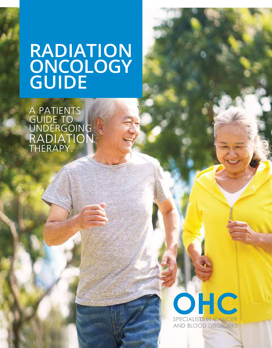# **RADIATION ONCOLOGY GUIDE**

A PATIENTS GUIDE TO UNDERGOING RADIATION THERAPY.

# OHC SPECIALISTS IN CANC **AND BLOOD DISORDERS**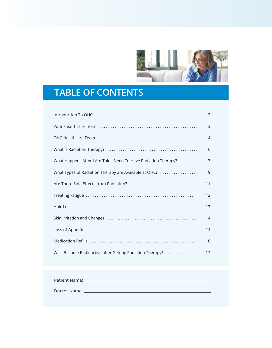

# **TABLE OF CONTENTS**

|                                                                | $\overline{2}$ |
|----------------------------------------------------------------|----------------|
|                                                                | 3              |
|                                                                | 4              |
|                                                                | 6              |
| What Happens After I Am Told I Need To Have Radiation Therapy? | 7              |
| What Types of Radiation Therapy are Available at OHC?          | 9              |
|                                                                | 11             |
|                                                                | 12             |
|                                                                | 13             |
|                                                                | 14             |
|                                                                | 14             |
|                                                                | 16             |
| Will I Become Radioactive after Getting Radiation Therapy?     | 17             |

| Patient Name: _ |  |
|-----------------|--|
| Doctor Name: _  |  |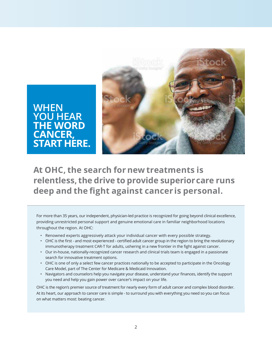

**WHEN YOU HEAR THE WORD CANCER, START HERE.**

**At OHC, the search for new treatments is relentless, the drive to provide superior care runs**  deep and the fight against cancer is personal.

For more than 35 years, our independent, physician-led practice is recognized for going beyond clinical excellence, providing unrestricted personal support and genuine emotional care in familiar neighborhood locations throughout the region. At OHC:

- Renowned experts aggressively attack your individual cancer with every possible strategy.
- OHC is the first and most experienced certified adult cancer group in the region to bring the revolutionary immunotherapy treatment CAR-T for adults, ushering in a new frontier in the fight against cancer.
- Our in-house, nationally-recognized cancer research and clinical trials team is engaged in a passionate search for innovative treatment options.
- OHC is one of only a select few cancer practices nationally to be accepted to participate in the Oncology Care Model, part of The Center for Medicare & Medicaid Innovation.
- Navigators and counselors help you navigate your disease, understand your finances, identify the support you need and help you gain power over cancer's impact on your life.

OHC is the region's premier source of treatment for nearly every form of adult cancer and complex blood disorder. At its heart, our approach to cancer care is simple - to surround you with everything you need so you can focus on what matters most: beating cancer.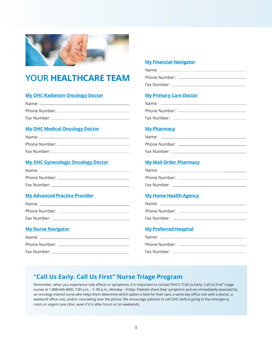

# **YOUR HEALTHCARE TEAM**

### **My OHC Radiation Oncology Doctor**

| Name:         |  |
|---------------|--|
| Phone Number: |  |
| Fax Number: _ |  |

### **My OHC Medical Oncology Doctor**

| Name:         |
|---------------|
| Phone Number: |
| Fax Number: _ |

### **My OHC Gynecologic Oncology Doctor**

| Name: _____________ |
|---------------------|
| Phone Number:       |
| Fax Number: _       |

### **My Advanced Practice Provider**

| Name: Name    |
|---------------|
| Phone Number: |
| Fax Number:   |

# **My Nurse Navigator**

| Name: ____       |  |
|------------------|--|
| Phone Number: __ |  |
| Fax Number:      |  |

### **My Financial Navigator**

| Name:         |
|---------------|
| Phone Number: |
| Fax Number:   |

### **My Primary Care Doctor**

| Name:         |  |
|---------------|--|
| Phone Number: |  |
| Fax Number:   |  |

### **My Pharmacy**

| Name:         |
|---------------|
| Phone Number: |
| Fax Number:   |

# **My Mail Order Pharmacy**

| Name:         |  |
|---------------|--|
| Phone Number: |  |
| Fax Number:   |  |

### **My Home Health Agency**

| Name:         |  |
|---------------|--|
| Phone Number: |  |
| Fax Number:   |  |

### **My Preferred Hospital**

3KRQH1XPEHU )D[1XPEHU

# **"Call Us Early. Call Us First" Nurse Triage Program**

Remember, when you experience side effects or symptoms, it is important to contact OHC's "Call Us Early. Call Us First" triage nurses at 1-888-649-4800, 7:00 a.m. - 5:00 p.m., Monday - Friday. Patients share their symptoms and are immediately assessed by an oncology-trained nurse who helps them determine which option is best for their care: a same day office visit with a doctor, a weekend office visit, and/or counseling over the phone. We encourage patients to call OHC before going to the emergency room or urgent care clinic, even if it is after hours or on weekends.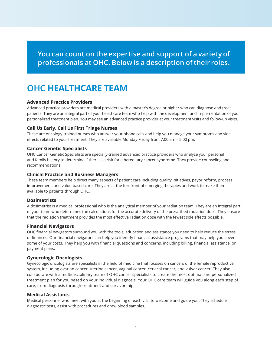**You can count on the expertise and support of a variety of professionals at OHC. Below is a description of their roles.**

# **OHC HEALTHCARE TEAM**

### **Advanced Practice Providers**

Advanced practice providers are medical providers with a master's degree or higher who can diagnose and treat patients. They are an integral part of your healthcare team who help with the development and implementation of your personalized treatment plan. You may see an advanced practice provider at your treatment visits and follow-up visits.

### **Call Us Early. Call Us First Triage Nurses**

These are oncology-trained nurses who answer your phone calls and help you manage your symptoms and side effects related to your treatment. They are available Monday-Friday from 7:00 am - 5:00 pm.

### **Cancer Genetic Specialists**

OHC Cancer Genetic Specialists are specially-trained advanced practice providers who analyze your personal and family history to determine if there is a risk for a hereditary cancer syndrome. They provide counseling and recommendations.

### **Clinical Practice and Business Managers**

These team members help direct many aspects of patient care including quality initiatives, payor reform, process improvement, and value-based care. They are at the forefront of emerging therapies and work to make them available to patients through OHC.

### **Dosimetrists**

A dosimetrist is a medical professional who is the analytical member of your radiation team. They are an integral part of your team who determines the calculations for the accurate delivery of the prescribed radiation dose. They ensure that the radiation treatment provides the most effective radiation dose with the fewest side effects possible.

### **Financial Navigators**

OHC financial navigators surround you with the tools, education and assistance you need to help reduce the stress of finances. Our financial navigators can help you identify financial assistance programs that may help you cover some of your costs. They help you with financial questions and concerns, including billing, financial assistance, or payment plans.

### **Gynecologic Oncologists**

Gynecologic oncologists are specialists in the field of medicine that focuses on cancers of the female reproductive system, including ovarian cancer, uterine cancer, vaginal cancer, cervical cancer, and vulvar cancer. They also collaborate with a multidisciplinary team of OHC cancer specialists to create the most optimal and personalized treatment plan for you based on your individual diagnosis. Your OHC care team will guide you along each step of care, from diagnosis through treatment and survivorship.

### **Medical Assistants**

Medical personnel who meet with you at the beginning of each visit to welcome and guide you. They schedule diagnostic tests, assist with procedures and draw blood samples.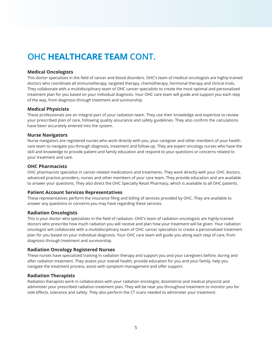# **OHC HEALTHCARE TEAM CONT.**

### **Medical Oncologists**

This doctor specializes in the field of cancer and blood disorders. OHC's team of medical oncologists are highly-trained doctors who coordinate all immunotherapy, targeted therapy, chemotherapy, hormonal therapy and clinical trials. They collaborate with a multidisciplinary team of OHC cancer specialists to create the most optimal and personalized treatment plan for you based on your individual diagnosis. Your OHC care team will guide and support you each step of the way, from diagnosis through treatment and survivorship.

### **Medical Physicists**

These professionals are an integral part of your radiation team. They use their knowledge and expertise to review your prescribed plan of care, following quality assurance and safety guidelines. They also confirm the calculations have been accurately entered into the system.

#### **Nurse Navigators**

Nurse navigators are registered nurses who work directly with you, your caregiver and other members of your health care team to navigate you through diagnosis, treatment and follow-up. They are expert oncology nurses who have the skill and knowledge to provide patient and family education and respond to your questions or concerns related to your treatment and care.

#### **OHC Pharmacists**

OHC pharmacists specialize in cancer-related medications and treatments. They work directly with your OHC doctors, advanced practice providers, nurses and other members of your care team. They provide education and are available to answer your questions. They also direct the OHC Specialty Retail Pharmacy, which is available to all OHC patients.

### **Patient Account Services Representatives**

These representatives perform the insurance filing and billing of services provided by OHC. They are available to answer any questions or concerns you may have regarding these services.

### **Radiation Oncologists**

This is your doctor who specializes in the field of radiation. OHC's team of radiation oncologists are highly-trained doctors who prescribe how much radiation you will receive and plan how your treatment will be given. Your radiation oncologist will collaborate with a multidisciplinary team of OHC cancer specialists to create a personalized treatment plan for you based on your individual diagnosis. Your OHC care team will guide you along each step of care, from diagnosis through treatment and survivorship.

### **Radiation Oncology Registered Nurses**

These nurses have specialized training in radiation therapy and support you and your caregivers before, during and after radiation treatment. They assess your overall health, provide education for you and your family, help you navigate the treatment process, assist with symptom management and offer support.

### **Radiation Therapists**

Radiation therapists work in collaboration with your radiation oncologist, dosimetrist and medical physicist and administer your prescribed radiation treatment plan. They will be near you throughout treatment to monitor you for side effects, tolerance and safety. They also perform the CT scans needed to administer your treatment.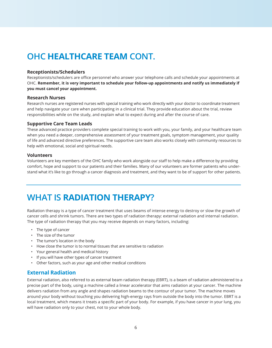# **OHC HEALTHCARE TEAM CONT.**

#### **Receptionists/Schedulers**

Receptionists/schedulers are office personnel who answer your telephone calls and schedule your appointments at OHC. **Remember, it is very important to schedule your follow-up appointments and notify us immediately if you must cancel your appointment.**

#### **Research Nurses**

Research nurses are registered nurses with special training who work directly with your doctor to coordinate treatment and help navigate your care when participating in a clinical trial. They provide education about the trial, review responsibilities while on the study, and explain what to expect during and after the course of care.

#### **Supportive Care Team Leads**

These advanced practice providers complete special training to work with you, your family, and your healthcare team when you need a deeper, comprehensive assessment of your treatment goals, symptom management, your quality of life and advanced directive preferences. The supportive care team also works closely with community resources to help with emotional, social and spiritual needs.

#### **Volunteers**

Volunteers are key members of the OHC family who work alongside our staff to help make a difference by providing comfort, hope and support to our patients and their families. Many of our volunteers are former patients who understand what it's like to go through a cancer diagnosis and treatment, and they want to be of support for other patients.

# **WHAT IS RADIATION THERAPY?**

Radiation therapy is a type of cancer treatment that uses beams of intense energy to destroy or slow the growth of cancer cells and shrink tumors. There are two types of radiation therapy: external radiation and internal radiation. The type of radiation therapy that you may receive depends on many factors, including:

- The type of cancer
- The size of the tumor
- The tumor's location in the body
- How close the tumor is to normal tissues that are sensitive to radiation
- Your general health and medical history
- If you will have other types of cancer treatment
- Other factors, such as your age and other medical conditions

# **External Radiation**

External radiation, also referred to as external beam radiation therapy (EBRT), is a beam of radiation administered to a precise part of the body, using a machine called a linear accelerator that aims radiation at your cancer. The machine delivers radiation from any angle and shapes radiation beams to the contour of your tumor. The machine moves around your body without touching you delivering high-energy rays from outside the body into the tumor. EBRT is a local treatment, which means it treats a specific part of your body. For example, if you have cancer in your lung, you will have radiation only to your chest, not to your whole body.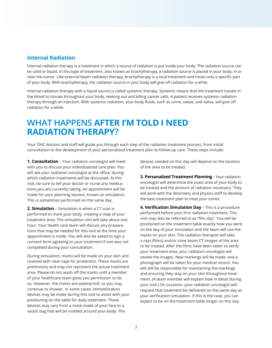## **Internal Radiation**

Internal radiation therapy is a treatment in which a source of radiation is put inside your body. The radiation source can be solid or liquid. In this type of treatment, also known as brachytherapy, a radiation source is placed in your body, in or near the tumor. Like external beam radiation therapy, brachytherapy is a local treatment and treats only a specific part of your body. With brachytherapy, the radiation source in your body will give off radiation for a while.

Internal radiation therapy with a liquid source is called systemic therapy. Systemic means that the treatment travels in the blood to tissues throughout your body, seeking out and killing cancer cells. A patient receives systemic radiation therapy through an injection. With systemic radiation, your body fluids, such as urine, sweat, and saliva, will give off radiation for a while.

# **WHAT HAPPENS AFTER I'M TOLD I NEED RADIATION THERAPY?**

Your OHC doctors and staff will guide you through each step of the radiation treatment process, from initial consultation to the development of your personalized treatment plan to follow-up care. These steps include:

**1. Consultation** - Your radiation oncologist will meet with you to discuss your individualized care plan. You will see your radiation oncologist at the office, during which radiation treatments will be discussed. At this visit, be sure to tell your doctor or nurse any medications you are currently taking. An appointment will be made for your planning session, known as simulation. This is sometimes performed on the same day.

**2. Simulation** - Simulation is when a CT scan is performed to mark your body, creating a map of your treatment area. The simulation visit will take about one hour. Your health care team will discuss any preparations that may be needed for this visit at the time your appointment is made. You will also be asked to sign a consent form agreeing to your treatment if one was not completed during your consultation.

During simulation, marks will be made on your skin and covered with clear tape for protection. These marks are preliminary and may not represent the actual treatment area. Please do not wash off the marks until a member of your healthcare team gives you permission to do so. However, the marks are waterproof, so you may continue to shower. In some cases, immobilization devices may be made during this visit to assist with your positioning on the table for daily treatment. These devices may vary from a mask made of your face to a vacloc bag that will be molded around your body. The

devices needed on this day will depend on the location of the area to be treated.

**3. Personalized Treatment Planning** - Your radiation oncologist will determine the exact area of your body to be treated and the amount of radiation necessary. They will work with the dosimetry and physics staff to develop the best treatment plan to treat your tumor.

**4. Verification Simulation Day** - This is a procedure performed before your first radiation treatment. This visit may also be referred to as "film day". You will be positioned on the treatment table exactly how you were on the day of your simulation and the team will use the marks on your skin. The radiation therapist will take x-rays (films) and/or cone beam CT images of the area to be treated. After the films have been taken to verify your treatment area, your radiation oncologist will review the images. New markings will be made, and a photograph will be taken for your medical record. You will still be responsible for maintaining the markings and ensuring they stay on your skin throughout treatment. (A team member will explain how in detail during your visit.) On occasion, your radiation oncologist will request that treatment be delivered on the same day as your verification simulation. If this is the case, you can expect to be on the treatment table longer on this day.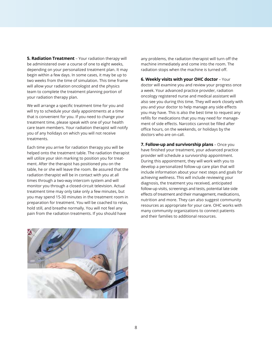**5. Radiation Treatment** - Your radiation therapy will be administered over a course of one to eight weeks, depending on your personalized treatment plan. It may begin within a few days. In some cases, it may be up to two weeks from the time of simulation. This time frame will allow your radiation oncologist and the physics team to complete the treatment planning portion of your radiation therapy plan.

We will arrange a specific treatment time for you and will try to schedule your daily appointments at a time that is convenient for you. If you need to change your treatment time, please speak with one of your health care team members. Your radiation therapist will notify you of any holidays on which you will not receive treatments.

Each time you arrive for radiation therapy you will be helped onto the treatment table. The radiation therapist will utilize your skin marking to position you for treatment. After the therapist has positioned you on the table, he or she will leave the room. Be assured that the radiation therapist will be in contact with you at all times through a two-way intercom system and will monitor you through a closed-circuit television. Actual treatment time may only take only a few minutes, but you may spend 15-30 minutes in the treatment room in preparation for treatment. You will be coached to relax, hold still, and breathe normally. You will not feel any pain from the radiation treatments. If you should have

any problems, the radiation therapist will turn off the machine immediately and come into the room. The radiation stops when the machine is turned off.

**6. Weekly visits with your OHC doctor** – Your doctor will examine you and review your progress once a week. Your advanced practice provider, radiation oncology registered nurse and medical assistant will also see you during this time. They will work closely with you and your doctor to help manage any side effects you may have. This is also the best time to request any refills for medications that you may need for management of side effects. Narcotics cannot be filled after office hours, on the weekends, or holidays by the doctors who are on-call.

**7. Follow-up and survivorship plans** – Once you have finished your treatment, your advanced practice provider will schedule a survivorship appointment. During this appointment, they will work with you to develop a personalized follow-up care plan that will include information about your next steps and goals for achieving wellness. This will include reviewing your diagnosis, the treatment you received, anticipated follow-up visits, screenings and tests, potential late side effects of treatment and their management, medications, nutrition and more. They can also suggest community resources as appropriate for your care. OHC works with many community organizations to connect patients and their families to additional resources.

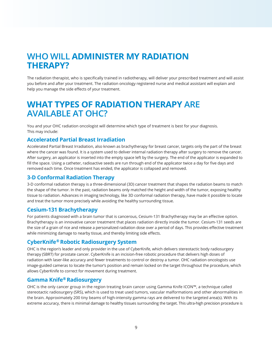# **WHO WILL ADMINISTER MY RADIATION THERAPY?**

The radiation therapist, who is specifically trained in radiotherapy, will deliver your prescribed treatment and will assist you before and after your treatment. The radiation oncology registered nurse and medical assistant will explain and help you manage the side effects of your treatment.

# **WHAT TYPES OF RADIATION THERAPY ARE AVAILABLE AT OHC?**

You and your OHC radiation oncologist will determine which type of treatment is best for your diagnosis. This may include:

# **Accelerated Partial Breast Irradiation**

Accelerated Partial Breast Irradiation, also known as brachytherapy for breast cancer, targets only the part of the breast where the cancer was found. It is a system used to deliver internal radiation therapy after surgery to remove the cancer. After surgery, an applicator is inserted into the empty space left by the surgery. The end of the applicator is expanded to fill the space. Using a catheter, radioactive seeds are run through end of the applicator twice a day for five days and removed each time. Once treatment has ended, the applicator is collapsed and removed.

# **3-D Conformal Radiation Therapy**

3-D conformal radiation therapy is a three-dimensional (3D) cancer treatment that shapes the radiation beams to match the shape of the tumor. In the past, radiation beams only matched the height and width of the tumor, exposing healthy tissue to radiation. Advances in imaging technology, like 3D conformal radiation therapy, have made it possible to locate and treat the tumor more precisely while avoiding the healthy surrounding tissue.

# **Cesium-131 Brachytherapy**

For patients diagnosed with a brain tumor that is cancerous, Cesium-131 Brachytherapy may be an effective option. Brachytherapy is an innovative cancer treatment that places radiation directly inside the tumor. Cesium-131 seeds are the size of a grain of rice and release a personalized radiation dose over a period of days. This provides effective treatment while minimizing damage to nearby tissue, and thereby limiting side effects.

# **CyberKnife® Robotic Radiosurgery System**

OHC is the region's leader and only provider in the use of CyberKnife, which delivers stereotactic body radiosurgery therapy (SBRT) for prostate cancer. CyberKnife is an incision-free robotic procedure that delivers high doses of radiation with laser-like accuracy and fewer treatments to control or destroy a tumor. OHC radiation oncologists use image-guided cameras to locate the tumor's position and remain locked on the target throughout the procedure, which allows CyberKnife to correct for movement during treatment.

# **Gamma Knife® Radiosurgery**

OHC is the only cancer group in the region treating brain cancer using Gamma Knife ICON™, a technique called stereotactic radiosurgery (SRS), which is used to treat used tumors, vascular malformations and other abnormalities in the brain. Approximately 200 tiny beams of high-intensity gamma rays are delivered to the targeted area(s). With its extreme accuracy, there is minimal damage to healthy tissues surrounding the target. This ultra-high precision procedure is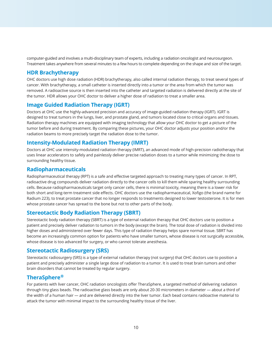computer-guided and involves a multi-disciplinary team of experts, including a radiation oncologist and neurosurgeon. Treatment takes anywhere from several minutes to a few hours to complete depending on the shape and size of the target.

# **HDR Brachytherapy**

OHC doctors use high dose radiation (HDR) brachytherapy, also called internal radiation therapy, to treat several types of cancer. With brachytherapy, a small catheter is inserted directly into a tumor or the area from which the tumor was removed. A radioactive source is then inserted into the catheter and targeted radiation is delivered directly at the site of the tumor. HDR allows your OHC doctor to deliver a higher dose of radiation to treat a smaller area.

# **Image Guided Radiation Therapy (IGRT)**

Doctors at OHC use the highly-advanced precision and accuracy of image-guided radiation therapy (IGRT). IGRT is designed to treat tumors in the lungs, liver, and prostate gland, and tumors located close to critical organs and tissues. Radiation therapy machines are equipped with imaging technology that allow your OHC doctor to get a picture of the tumor before and during treatment. By comparing these pictures, your OHC doctor adjusts your position and/or the radiation beams to more precisely target the radiation dose to the tumor.

# **Intensity-Modulated Radiation Therapy (IMRT)**

Doctors at OHC use intensity-modulated radiation therapy (IMRT), an advanced mode of high-precision radiotherapy that uses linear accelerators to safely and painlessly deliver precise radiation doses to a tumor while minimizing the dose to surrounding healthy tissue.

# **Radiopharmaceuticals**

Radiopharmaceutical therapy (RPT) is a safe and effective targeted approach to treating many types of cancer. In RPT, radioactive drug compounds deliver radiation directly to the cancer cells to kill them while sparing healthy surrounding cells. Because radiopharmaceuticals target only cancer cells, there is minimal toxicity, meaning there is a lower risk for both short and long-term treatment side effects. OHC doctors use the radiopharmaceutical, Xofigo (the brand name for Radium 223), to treat prostate cancer that no longer responds to treatments designed to lower testosterone. It is for men whose prostate cancer has spread to the bone but not to other parts of the body.

# **Stereotactic Body Radiation Therapy (SBRT)**

Stereotactic body radiation therapy (SBRT) is a type of external radiation therapy that OHC doctors use to position a patient and precisely deliver radiation to tumors in the body (except the brain). The total dose of radiation is divided into higher doses and administered over fewer days. This type of radiation therapy helps spare normal tissue. SBRT has become an increasingly common option for patients who have smaller tumors, whose disease is not surgically accessible, whose disease is too advanced for surgery, or who cannot tolerate anesthesia.

# **Stereotactic Radiosurgery (SRS)**

Stereotactic radiosurgery (SRS) is a type of external radiation therapy (not surgery) that OHC doctors use to position a patient and precisely administer a single large dose of radiation to a tumor. It is used to treat brain tumors and other brain disorders that cannot be treated by regular surgery.

# **TheraSphere®**

For patients with liver cancer, OHC radiation oncologists offer TheraSphere, a targeted method of delivering radiation through tiny glass beads. The radioactive glass beads are only about 20-30 micrometers in diameter — about a third of the width of a human hair — and are delivered directly into the liver tumor. Each bead contains radioactive material to attack the tumor with minimal impact to the surrounding healthy tissue of the liver.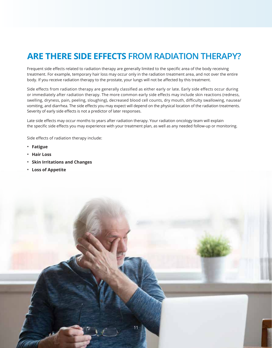# **ARE THERE SIDE EFFECTS FROM RADIATION THERAPY?**

Frequent side effects related to radiation therapy are generally limited to the specific area of the body receiving treatment. For example, temporary hair loss may occur only in the radiation treatment area, and not over the entire body. If you receive radiation therapy to the prostate, your lungs will not be affected by this treatment.

Side effects from radiation therapy are generally classified as either early or late. Early side effects occur during or immediately after radiation therapy. The more common early side effects may include skin reactions (redness, swelling, dryness, pain, peeling, sloughing), decreased blood cell counts, dry mouth, difficulty swallowing, nausea/ vomiting, and diarrhea. The side effects you may expect will depend on the physical location of the radiation treatments. Severity of early side effects is not a predictor of later responses.

Late side effects may occur months to years after radiation therapy. Your radiation oncology team will explain the specific side effects you may experience with your treatment plan, as well as any needed follow-up or monitoring.

Side effects of radiation therapy include:

- **Fatigue**
- **Hair Loss**
- **Skin Irritations and Changes**
- **Loss of Appetite**

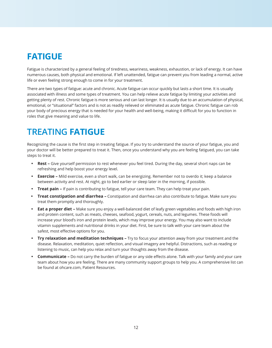# **FATIGUE**

Fatigue is characterized by a general feeling of tiredness, weariness, weakness, exhaustion, or lack of energy. It can have numerous causes, both physical and emotional. If left unattended, fatigue can prevent you from leading a normal, active life or even feeling strong enough to come in for your treatment.

There are two types of fatigue: acute and chronic. Acute fatigue can occur quickly but lasts a short time. It is usually associated with illness and some types of treatment. You can help relieve acute fatigue by limiting your activities and getting plenty of rest. Chronic fatigue is more serious and can last longer. It is usually due to an accumulation of physical, emotional, or "situational" factors and is not as readily relieved or eliminated as acute fatigue. Chronic fatigue can rob your body of precious energy that is needed for your health and well-being, making it difficult for you to function in roles that give meaning and value to life.

# **TREATING FATIGUE**

Recognizing the cause is the first step in treating fatigue. If you try to understand the source of your fatigue, you and your doctor will be better prepared to treat it. Then, once you understand why you are feeling fatigued, you can take steps to treat it.

- **Rest** Give yourself permission to rest whenever you feel tired. During the day, several short naps can be refreshing and help boost your energy level.
- **Exercise** Mild exercise, even a short walk, can be energizing. Remember not to overdo it; keep a balance between activity and rest. At night, go to bed earlier or sleep later in the morning, if possible.
- **Treat pain** If pain is contributing to fatigue, tell your care team. They can help treat your pain.
- **Treat constipation and diarrhea –** Constipation and diarrhea can also contribute to fatigue. Make sure you treat them promptly and thoroughly.
- **Eat a proper diet –** Make sure you enjoy a well-balanced diet of leafy green vegetables and foods with high iron and protein content, such as meats, cheeses, seafood, yogurt, cereals, nuts, and legumes. These foods will increase your blood's iron and protein levels, which may improve your energy. You may also want to include vitamin supplements and nutritional drinks in your diet. First, be sure to talk with your care team about the safest, most effective options for you.
- **Try relaxation and meditation techniques –** Try to focus your attention away from your treatment and the disease. Relaxation, meditation, quiet reflection, and visual imagery are helpful. Distractions, such as reading or listening to music, can help you relax and turn your thoughts away from the disease.
- **Communicate** Do not carry the burden of fatigue or any side effects alone. Talk with your family and your care team about how you are feeling. There are many community support groups to help you. A comprehensive list can be found at ohcare.com, Patient Resources.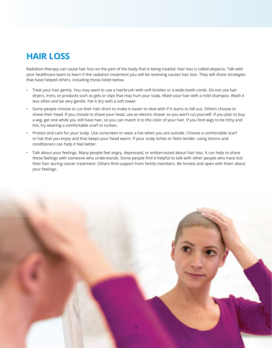# **HAIR LOSS**

Radiation therapy can cause hair loss on the part of the body that is being treated. Hair loss is called alopecia. Talk with your healthcare team to learn if the radiation treatment you will be receiving causes hair loss. They will share strategies that have helped others, including those listed below.

- Treat your hair gently. You may want to use a hairbrush with soft bristles or a wide-tooth comb. Do not use hair dryers, irons, or products such as gels or clips that may hurt your scalp. Wash your hair with a mild shampoo. Wash it less often and be very gentle. Pat it dry with a soft towel.
- Some people choose to cut their hair short to make it easier to deal with if it starts to fall out. Others choose to shave their head. If you choose to shave your head, use an electric shaver so you won't cut yourself. If you plan to buy a wig, get one while you still have hair, so you can match it to the color of your hair. If you find wigs to be itchy and hot, try wearing a comfortable scarf or turban.
- Protect and care for your scalp. Use sunscreen or wear a hat when you are outside. Choose a comfortable scarf or hat that you enjoy and that keeps your head warm. If your scalp itches or feels tender, using lotions and conditioners can help it feel better.
- Talk about your feelings. Many people feel angry, depressed, or embarrassed about hair loss. It can help to share these feelings with someone who understands. Some people find it helpful to talk with other people who have lost their hair during cancer treatment. Others find support from family members. Be honest and open with them about your feelings.

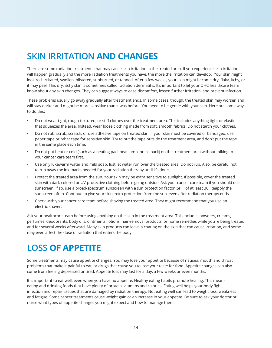# **SKIN IRRITATION AND CHANGES**

There are some radiation treatments that may cause skin irritation in the treated area. If you experience skin irritation it will happen gradually and the more radiation treatments you have, the more the irritation can develop. Your skin might look red, irritated, swollen, blistered, sunburned, or tanned. After a few weeks, your skin might become dry, flaky, itchy, or it may peel. This dry, itchy skin is sometimes called radiation dermatitis. It's important to let your OHC healthcare team know about any skin changes. They can suggest ways to ease discomfort, lessen further irritation, and prevent infection.

These problems usually go away gradually after treatment ends. In some cases, though, the treated skin may worsen and will stay darker and might be more sensitive than it was before. You need to be gentle with your skin. Here are some ways to do this:

- Do not wear tight, rough-textured, or stiff clothes over the treatment area. This includes anything tight or elastic that squeezes the area. Instead, wear loose clothing made from soft, smooth fabrics. Do not starch your clothes.
- Do not rub, scrub, scratch, or use adhesive tape on treated skin. If your skin must be covered or bandaged, use paper tape or other tape for sensitive skin. Try to put the tape outside the treatment area, and don't put the tape in the same place each time.
- Do not put heat or cold (such as a heating pad, heat lamp, or ice pack) on the treatment area without talking to your cancer care team first.
- Use only lukewarm water and mild soap. Just let water run over the treated area. Do not rub. Also, be careful not to rub away the ink marks needed for your radiation therapy until it's done.
- Protect the treated area from the sun. Your skin may be extra sensitive to sunlight. If possible, cover the treated skin with dark-colored or UV-protective clothing before going outside. Ask your cancer care team if you should use sunscreen. If so, use a broad-spectrum sunscreen with a sun protection factor (SPF) of at least 30. Reapply the sunscreen often. Continue to give your skin extra protection from the sun, even after radiation therapy ends.
- Check with your cancer care team before shaving the treated area. They might recommend that you use an electric shaver.

Ask your healthcare team before using anything on the skin in the treatment area. This includes powders, creams, perfumes, deodorants, body oils, ointments, lotions, hair-removal products, or home remedies while you're being treated and for several weeks afterward. Many skin products can leave a coating on the skin that can cause irritation, and some may even affect the dose of radiation that enters the body.

# **LOSS OF APPETITE**

Some treatments may cause appetite changes. You may lose your appetite because of nausea, mouth and throat problems that make it painful to eat, or drugs that cause you to lose your taste for food. Appetite changes can also come from feeling depressed or tired. Appetite loss may last for a day, a few weeks or even months.

It is important to eat well, even when you have no appetite. Healthy eating habits promote healing. This means eating and drinking foods that have plenty of protein, vitamins and calories. Eating well helps your body fight infection and repair tissues that are damaged by radiation therapy. Not eating well can lead to weight loss, weakness and fatigue. Some cancer treatments cause weight gain or an increase in your appetite. Be sure to ask your doctor or nurse what types of appetite changes you might expect and how to manage them.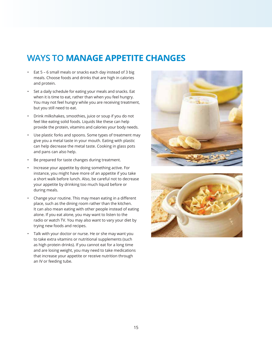# **WAYS TO MANAGE APPETITE CHANGES**

- Eat 5 6 small meals or snacks each day instead of 3 big meals. Choose foods and drinks that are high in calories and protein.
- Set a daily schedule for eating your meals and snacks. Eat when it is time to eat, rather than when you feel hungry. You may not feel hungry while you are receiving treatment, but you still need to eat.
- Drink milkshakes, smoothies, juice or soup if you do not feel like eating solid foods. Liquids like these can help provide the protein, vitamins and calories your body needs.
- Use plastic forks and spoons. Some types of treatment may give you a metal taste in your mouth. Eating with plastic can help decrease the metal taste. Cooking in glass pots and pans can also help.
- Be prepared for taste changes during treatment.
- Increase your appetite by doing something active. For instance, you might have more of an appetite if you take a short walk before lunch. Also, be careful not to decrease your appetite by drinking too much liquid before or during meals.
- Change your routine. This may mean eating in a different place, such as the dining room rather than the kitchen. It can also mean eating with other people instead of eating alone. If you eat alone, you may want to listen to the radio or watch TV. You may also want to vary your diet by trying new foods and recipes.
- Talk with your doctor or nurse. He or she may want you to take extra vitamins or nutritional supplements (such as high protein drinks). If you cannot eat for a long time and are losing weight, you may need to take medications that increase your appetite or receive nutrition through an IV or feeding tube.



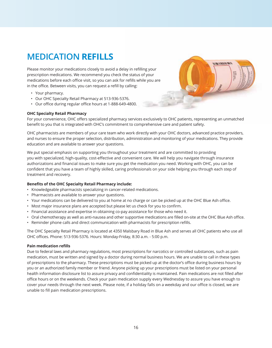# **MEDICATION REFILLS**

Please monitor your medications closely to avoid a delay in refilling your prescription medications. We recommend you check the status of your medications before each office visit, so you can ask for refills while you are in the office. Between visits, you can request a refill by calling:

- Your pharmacy.
- Our OHC Specialty Retail Pharmacy at 513-936-5376.
- Our office during regular office hours at 1-888-649-4800.



#### **OHC Specialty Retail Pharmacy**

For your convenience, OHC offers specialized pharmacy services exclusively to OHC patients, representing an unmatched benefit to you that is integrated with OHC's commitment to comprehensive care and patient safety.

OHC pharmacists are members of your care team who work directly with your OHC doctors, advanced practice providers, and nurses to ensure the proper selection, distribution, administration and monitoring of your medications. They provide education and are available to answer your questions.

We put special emphasis on supporting you throughout your treatment and are committed to providing you with specialized, high-quality, cost-effective and convenient care. We will help you navigate through insurance authorizations and financial issues to make sure you get the medication you need. Working with OHC, you can be confident that you have a team of highly skilled, caring professionals on your side helping you through each step of treatment and recovery.

#### Benefits of the OHC Specialty Retail Pharmacy include:

- Knowledgeable pharmacists specializing in cancer-related medications.
- Pharmacists are available to answer your questions.
- Your medications can be delivered to you at home at no charge or can be picked up at the OHC Blue Ash office.
- Most major insurance plans are accepted but please let us check for you to confirm.
- Financial assistance and expertise in obtaining co-pay assistance for those who need it.
- Oral chemotherapy as well as anti-nausea and other supportive medications are filled on-site at the OHC Blue Ash office.
- Reminder phone calls and direct communication with pharmacists for prescription refills.

The OHC Specialty Retail Pharmacy is located at 4350 Malsbary Road in Blue Ash and serves all OHC patients who use all OHC offices. Phone: 513-936-5376. Hours: Monday-Friday, 8:30 a.m. - 5:00 p.m.

#### **Pain medication refills**

Due to federal laws and pharmacy regulations, most prescriptions for narcotics or controlled substances, such as pain medication, must be written and signed by a doctor during normal business hours. We are unable to call in these types of prescriptions to the pharmacy. These prescriptions must be picked up at the doctor's office during business hours by you or an authorized family member or friend. Anyone picking up your prescriptions must be listed on your personal health information disclosure list to assure privacy and confidentiality is maintained. Pain medications are not filled after office hours or on the weekends. Check your pain medication supply every Wednesday to assure you have enough to cover your needs through the next week. Please note, if a holiday falls on a weekday and our office is closed, we are unable to fill pain medication prescriptions.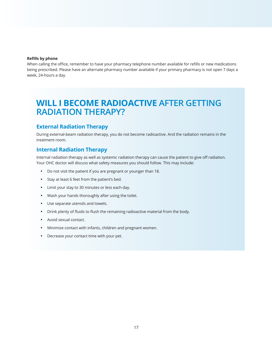#### **Refills by phone**

When calling the office, remember to have your pharmacy telephone number available for refills or new medications being prescribed. Please have an alternate pharmacy number available if your primary pharmacy is not open 7 days a week, 24-hours a day.

# **WILL I BECOME RADIOACTIVE AFTER GETTING RADIATION THERAPY?**

### **External Radiation Therapy**

During external-beam radiation therapy, you do not become radioactive. And the radiation remains in the treatment room

### **Internal Radiation Therapy**

Internal radiation therapy as well as systemic radiation therapy can cause the patient to give off radiation. Your OHC doctor will discuss what safety measures you should follow. This may include:

- Do not visit the patient if you are pregnant or younger than 18.
- Stay at least 6 feet from the patient's bed.
- Limit your stay to 30 minutes or less each day.
- Wash your hands thoroughly after using the toilet.
- Use separate utensils and towels.
- Drink plenty of fluids to flush the remaining radioactive material from the body.
- Avoid sexual contact.
- Minimize contact with infants, children and pregnant women.
- Decrease your contact time with your pet.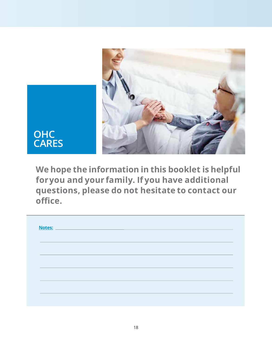

**We hope the information in this booklet is helpful for you and your family. If you have additional questions, please do not hesitate to contact our**  office.

|  | Notes: Notes: 2008 and 2008 and 2008 and 2008 and 2008 and 2008 and 2008 and 2008 and 2008 and 2008 and 2008 and 2008 and 2008 and 2008 and 2008 and 2008 and 2008 and 2008 and 2008 and 2008 and 2008 and 2008 and 2008 and 2 |  |  |  |
|--|--------------------------------------------------------------------------------------------------------------------------------------------------------------------------------------------------------------------------------|--|--|--|
|  |                                                                                                                                                                                                                                |  |  |  |
|  |                                                                                                                                                                                                                                |  |  |  |
|  |                                                                                                                                                                                                                                |  |  |  |
|  |                                                                                                                                                                                                                                |  |  |  |
|  |                                                                                                                                                                                                                                |  |  |  |
|  |                                                                                                                                                                                                                                |  |  |  |
|  |                                                                                                                                                                                                                                |  |  |  |
|  |                                                                                                                                                                                                                                |  |  |  |
|  |                                                                                                                                                                                                                                |  |  |  |
|  |                                                                                                                                                                                                                                |  |  |  |
|  |                                                                                                                                                                                                                                |  |  |  |
|  |                                                                                                                                                                                                                                |  |  |  |